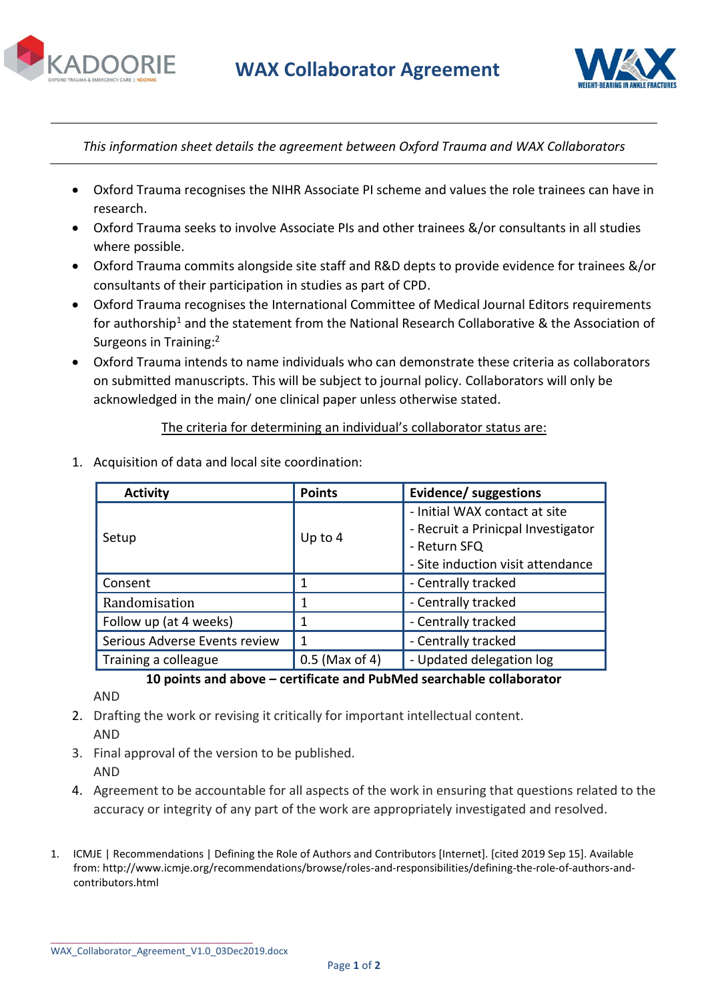



*This information sheet details the agreement between Oxford Trauma and WAX Collaborators* 

- Oxford Trauma recognises the NIHR Associate PI scheme and values the role trainees can have in research.
- Oxford Trauma seeks to involve Associate PIs and other trainees &/or consultants in all studies where possible.
- Oxford Trauma commits alongside site staff and R&D depts to provide evidence for trainees &/or consultants of their participation in studies as part of CPD.
- Oxford Trauma recognises the International Committee of Medical Journal Editors requirements for authorship<sup>1</sup> and the statement from the National Research Collaborative & the Association of Surgeons in Training:<sup>2</sup>
- Oxford Trauma intends to name individuals who can demonstrate these criteria as collaborators on submitted manuscripts. This will be subject to journal policy. Collaborators will only be acknowledged in the main/ one clinical paper unless otherwise stated.

## The criteria for determining an individual's collaborator status are:

| <b>Activity</b>               | <b>Points</b>    | Evidence/ suggestions              |
|-------------------------------|------------------|------------------------------------|
| Setup                         | Up to $4$        | - Initial WAX contact at site      |
|                               |                  | - Recruit a Prinicpal Investigator |
|                               |                  | - Return SFQ                       |
|                               |                  | - Site induction visit attendance  |
| Consent                       | 1                | - Centrally tracked                |
| Randomisation                 | 1                | - Centrally tracked                |
| Follow up (at 4 weeks)        | 1                | - Centrally tracked                |
| Serious Adverse Events review | 1                | - Centrally tracked                |
| Training a colleague          | $0.5$ (Max of 4) | - Updated delegation log           |

1. Acquisition of data and local site coordination:

**10 points and above – certificate and PubMed searchable collaborator**

AND

- 2. Drafting the work or revising it critically for important intellectual content. AND
- 3. Final approval of the version to be published. AND
- 4. Agreement to be accountable for all aspects of the work in ensuring that questions related to the accuracy or integrity of any part of the work are appropriately investigated and resolved.
- 1. ICMJE | Recommendations | Defining the Role of Authors and Contributors [Internet]. [cited 2019 Sep 15]. Available from: http://www.icmje.org/recommendations/browse/roles-and-responsibilities/defining-the-role-of-authors-andcontributors.html

\_\_\_\_\_\_\_\_\_\_\_\_\_\_\_\_\_\_\_\_\_\_\_\_\_\_\_\_\_\_\_\_\_\_\_\_\_\_

WAX\_Collaborator\_Agreement\_V1.0\_03Dec2019.docx